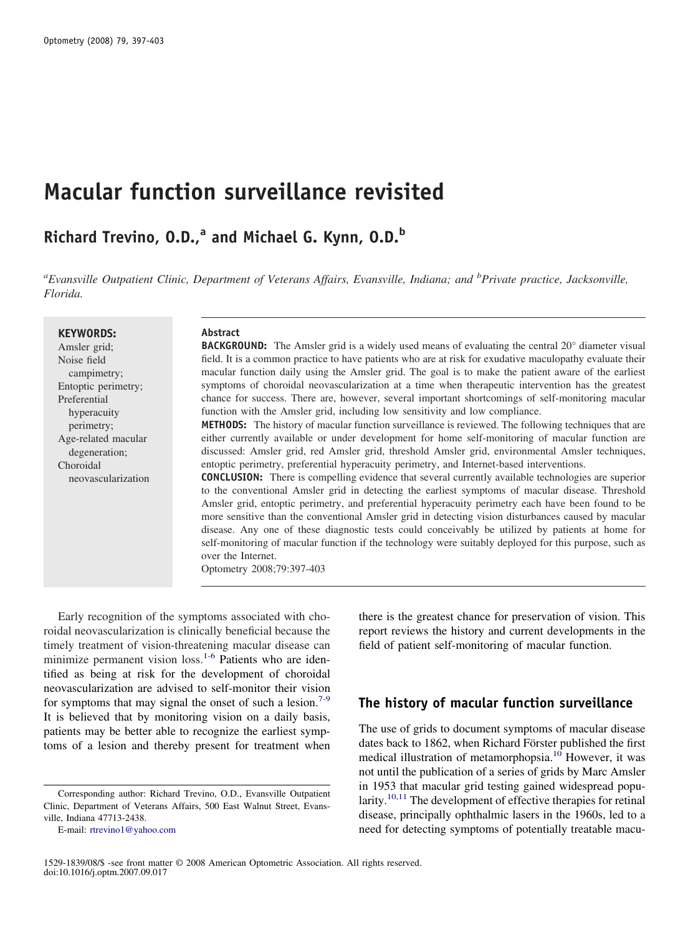# **Macular function surveillance revisited**

## **Richard Trevino, O.D.,<sup>a</sup> and Michael G. Kynn, O.D.<sup>b</sup>**

*a Evansville Outpatient Clinic, Department of Veterans Affairs, Evansville, Indiana; and <sup>b</sup> Private practice, Jacksonville, Florida.*

#### **KEYWORDS:**

Amsler grid; Noise field campimetry; Entoptic perimetry; Preferential hyperacuity perimetry; Age-related macular degeneration; Choroidal neovascularization

## **Abstract**

**BACKGROUND:** The Amsler grid is a widely used means of evaluating the central 20° diameter visual field. It is a common practice to have patients who are at risk for exudative maculopathy evaluate their macular function daily using the Amsler grid. The goal is to make the patient aware of the earliest symptoms of choroidal neovascularization at a time when therapeutic intervention has the greatest chance for success. There are, however, several important shortcomings of self-monitoring macular function with the Amsler grid, including low sensitivity and low compliance.

**METHODS:** The history of macular function surveillance is reviewed. The following techniques that are either currently available or under development for home self-monitoring of macular function are discussed: Amsler grid, red Amsler grid, threshold Amsler grid, environmental Amsler techniques, entoptic perimetry, preferential hyperacuity perimetry, and Internet-based interventions.

**CONCLUSION:** There is compelling evidence that several currently available technologies are superior to the conventional Amsler grid in detecting the earliest symptoms of macular disease. Threshold Amsler grid, entoptic perimetry, and preferential hyperacuity perimetry each have been found to be more sensitive than the conventional Amsler grid in detecting vision disturbances caused by macular disease. Any one of these diagnostic tests could conceivably be utilized by patients at home for self-monitoring of macular function if the technology were suitably deployed for this purpose, such as over the Internet.

Optometry 2008;79:397-403

Early recognition of the symptoms associated with choroidal neovascularization is clinically beneficial because the timely treatment of vision-threatening macular disease can minimize permanent vision  $loss<sup>1-6</sup>$  $loss<sup>1-6</sup>$  $loss<sup>1-6</sup>$  Patients who are identified as being at risk for the development of choroidal neovascularization are advised to self-monitor their vision for symptoms that may signal the onset of such a lesion.<sup>[7-9](#page-5-0)</sup> It is believed that by monitoring vision on a daily basis, patients may be better able to recognize the earliest symptoms of a lesion and thereby present for treatment when

there is the greatest chance for preservation of vision. This report reviews the history and current developments in the field of patient self-monitoring of macular function.

## **The history of macular function surveillance**

The use of grids to document symptoms of macular disease dates back to 1862, when Richard Förster published the first medical illustration of metamorphopsia.<sup>10</sup> However, it was not until the publication of a series of grids by Marc Amsler in 1953 that macular grid testing gained widespread popu-larity.<sup>[10,11](#page-5-0)</sup> The development of effective therapies for retinal disease, principally ophthalmic lasers in the 1960s, led to a need for detecting symptoms of potentially treatable macu-

Corresponding author: Richard Trevino, O.D., Evansville Outpatient Clinic, Department of Veterans Affairs, 500 East Walnut Street, Evansville, Indiana 47713-2438.

E-mail: [rtrevino1@yahoo.com](mailto:rtrevino1@yahoo.com)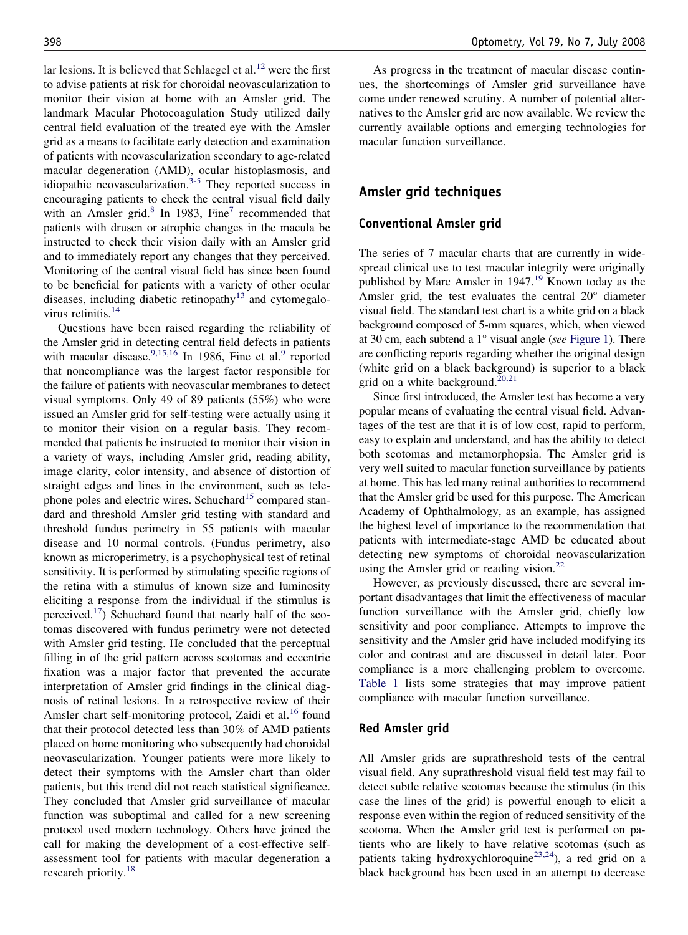lar lesions. It is believed that Schlaegel et al. $12$  were the first to advise patients at risk for choroidal neovascularization to monitor their vision at home with an Amsler grid. The landmark Macular Photocoagulation Study utilized daily central field evaluation of the treated eye with the Amsler grid as a means to facilitate early detection and examination of patients with neovascularization secondary to age-related macular degeneration (AMD), ocular histoplasmosis, and idiopathic neovascularization. $3-5$  They reported success in encouraging patients to check the central visual field daily with an Amsler grid. $8 \text{ In } 1983$  $8 \text{ In } 1983$ , Fine<sup>[7](#page-5-0)</sup> recommended that patients with drusen or atrophic changes in the macula be instructed to check their vision daily with an Amsler grid and to immediately report any changes that they perceived. Monitoring of the central visual field has since been found to be beneficial for patients with a variety of other ocular diseases, including diabetic retinopathy<sup>[13](#page-5-0)</sup> and cytomegalovirus retinitis. $14$ 

Questions have been raised regarding the reliability of the Amsler grid in detecting central field defects in patients with macular disease.<sup>[9,15,16](#page-5-0)</sup> In 1[9](#page-5-0)86, Fine et al.<sup>9</sup> reported that noncompliance was the largest factor responsible for the failure of patients with neovascular membranes to detect visual symptoms. Only 49 of 89 patients (55%) who were issued an Amsler grid for self-testing were actually using it to monitor their vision on a regular basis. They recommended that patients be instructed to monitor their vision in a variety of ways, including Amsler grid, reading ability, image clarity, color intensity, and absence of distortion of straight edges and lines in the environment, such as tele-phone poles and electric wires. Schuchard<sup>[15](#page-5-0)</sup> compared standard and threshold Amsler grid testing with standard and threshold fundus perimetry in 55 patients with macular disease and 10 normal controls. (Fundus perimetry, also known as microperimetry, is a psychophysical test of retinal sensitivity. It is performed by stimulating specific regions of the retina with a stimulus of known size and luminosity eliciting a response from the individual if the stimulus is perceived.<sup>17</sup>) Schuchard found that nearly half of the scotomas discovered with fundus perimetry were not detected with Amsler grid testing. He concluded that the perceptual filling in of the grid pattern across scotomas and eccentric fixation was a major factor that prevented the accurate interpretation of Amsler grid findings in the clinical diagnosis of retinal lesions. In a retrospective review of their Amsler chart self-monitoring protocol, Zaidi et al.<sup>[16](#page-5-0)</sup> found that their protocol detected less than 30% of AMD patients placed on home monitoring who subsequently had choroidal neovascularization. Younger patients were more likely to detect their symptoms with the Amsler chart than older patients, but this trend did not reach statistical significance. They concluded that Amsler grid surveillance of macular function was suboptimal and called for a new screening protocol used modern technology. Others have joined the call for making the development of a cost-effective selfassessment tool for patients with macular degeneration a research priority.<sup>[18](#page-5-0)</sup>

As progress in the treatment of macular disease continues, the shortcomings of Amsler grid surveillance have come under renewed scrutiny. A number of potential alternatives to the Amsler grid are now available. We review the currently available options and emerging technologies for macular function surveillance.

## **Amsler grid techniques**

#### **Conventional Amsler grid**

The series of 7 macular charts that are currently in widespread clinical use to test macular integrity were originally published by Marc Amsler in [19](#page-5-0)47.<sup>19</sup> Known today as the Amsler grid, the test evaluates the central 20° diameter visual field. The standard test chart is a white grid on a black background composed of 5-mm squares, which, when viewed at 30 cm, each subtend a 1° visual angle (*see* [Figure 1\)](#page-2-0). There are conflicting reports regarding whether the original design (white grid on a black background) is superior to a black grid on a white background.<sup>[20,21](#page-5-0)</sup>

Since first introduced, the Amsler test has become a very popular means of evaluating the central visual field. Advantages of the test are that it is of low cost, rapid to perform, easy to explain and understand, and has the ability to detect both scotomas and metamorphopsia. The Amsler grid is very well suited to macular function surveillance by patients at home. This has led many retinal authorities to recommend that the Amsler grid be used for this purpose. The American Academy of Ophthalmology, as an example, has assigned the highest level of importance to the recommendation that patients with intermediate-stage AMD be educated about detecting new symptoms of choroidal neovascularization using the Amsler grid or reading vision. $^{22}$  $^{22}$  $^{22}$ 

However, as previously discussed, there are several important disadvantages that limit the effectiveness of macular function surveillance with the Amsler grid, chiefly low sensitivity and poor compliance. Attempts to improve the sensitivity and the Amsler grid have included modifying its color and contrast and are discussed in detail later. Poor compliance is a more challenging problem to overcome. [Table 1](#page-2-0) lists some strategies that may improve patient compliance with macular function surveillance.

#### **Red Amsler grid**

All Amsler grids are suprathreshold tests of the central visual field. Any suprathreshold visual field test may fail to detect subtle relative scotomas because the stimulus (in this case the lines of the grid) is powerful enough to elicit a response even within the region of reduced sensitivity of the scotoma. When the Amsler grid test is performed on patients who are likely to have relative scotomas (such as patients taking hydroxychloroquine<sup>23,24</sup>), a red grid on a black background has been used in an attempt to decrease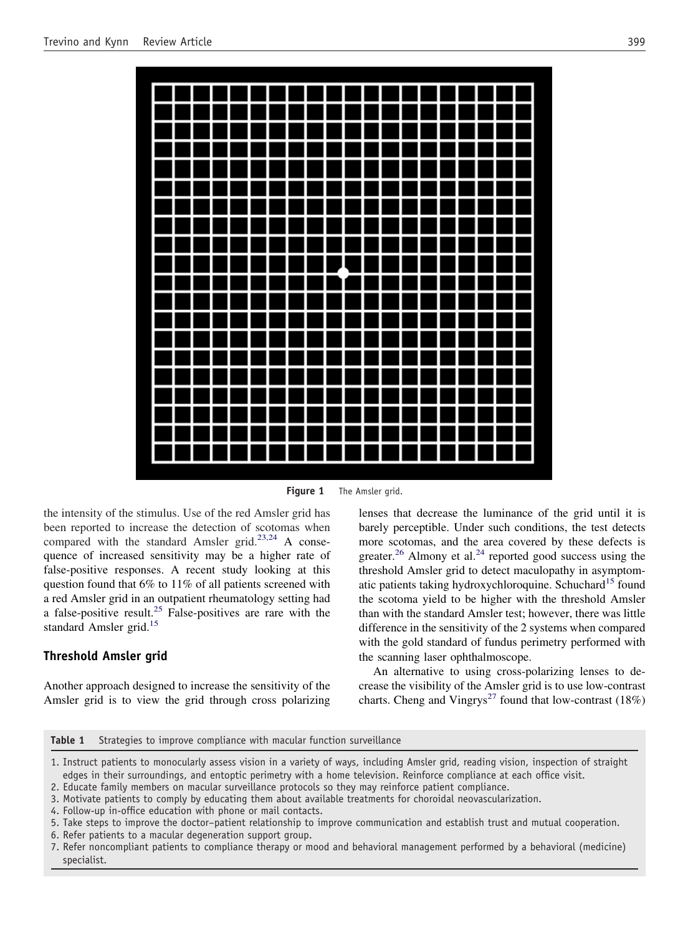<span id="page-2-0"></span>

**Figure 1** The Amsler grid.

the intensity of the stimulus. Use of the red Amsler grid has been reported to increase the detection of scotomas when compared with the standard Amsler grid.<sup>[23,24](#page-5-0)</sup> A consequence of increased sensitivity may be a higher rate of false-positive responses. A recent study looking at this question found that 6% to 11% of all patients screened with a red Amsler grid in an outpatient rheumatology setting had a false-positive result.<sup>[25](#page-5-0)</sup> False-positives are rare with the standard Amsler grid.<sup>[15](#page-5-0)</sup>

## **Threshold Amsler grid**

Another approach designed to increase the sensitivity of the Amsler grid is to view the grid through cross polarizing

lenses that decrease the luminance of the grid until it is barely perceptible. Under such conditions, the test detects more scotomas, and the area covered by these defects is greater.<sup>[26](#page-5-0)</sup> Almony et al.<sup>[24](#page-5-0)</sup> reported good success using the threshold Amsler grid to detect maculopathy in asymptom-atic patients taking hydroxychloroquine. Schuchard<sup>[15](#page-5-0)</sup> found the scotoma yield to be higher with the threshold Amsler than with the standard Amsler test; however, there was little difference in the sensitivity of the 2 systems when compared with the gold standard of fundus perimetry performed with the scanning laser ophthalmoscope.

An alternative to using cross-polarizing lenses to decrease the visibility of the Amsler grid is to use low-contrast charts. Cheng and Vingrys<sup>[27](#page-5-0)</sup> found that low-contrast (18%)

| Table 1 |  |  |  |  |  |  | Strategies to improve compliance with macular function surveillance |  |
|---------|--|--|--|--|--|--|---------------------------------------------------------------------|--|
|---------|--|--|--|--|--|--|---------------------------------------------------------------------|--|

<sup>1.</sup> Instruct patients to monocularly assess vision in a variety of ways, including Amsler grid, reading vision, inspection of straight edges in their surroundings, and entoptic perimetry with a home television. Reinforce compliance at each office visit.

6. Refer patients to a macular degeneration support group.

<sup>2.</sup> Educate family members on macular surveillance protocols so they may reinforce patient compliance.

<sup>3.</sup> Motivate patients to comply by educating them about available treatments for choroidal neovascularization.

<sup>4.</sup> Follow-up in-office education with phone or mail contacts.

<sup>5.</sup> Take steps to improve the doctor–patient relationship to improve communication and establish trust and mutual cooperation.

<sup>7.</sup> Refer noncompliant patients to compliance therapy or mood and behavioral management performed by a behavioral (medicine) specialist.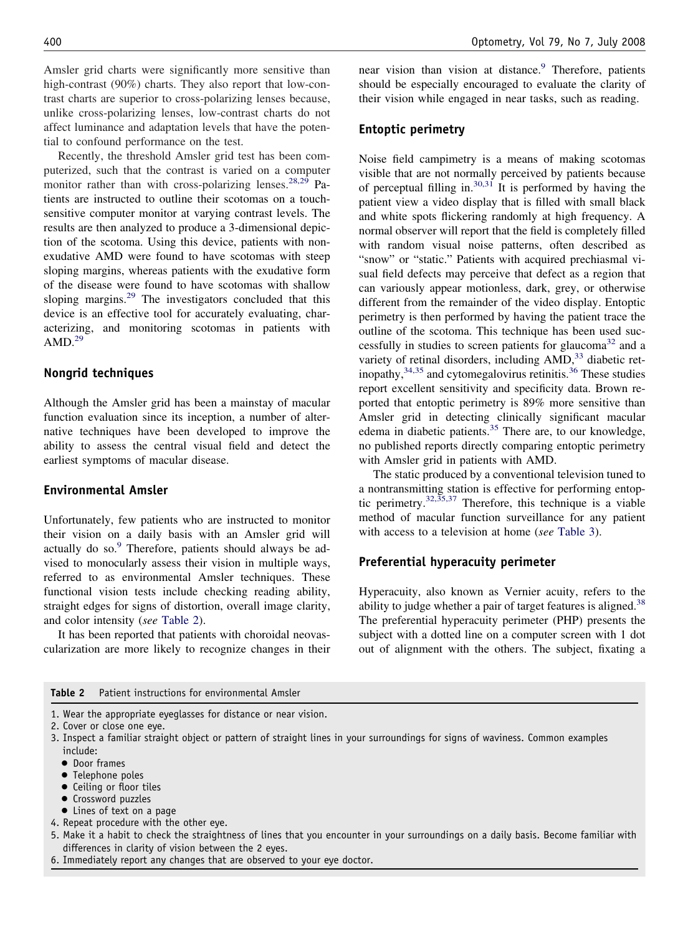Amsler grid charts were significantly more sensitive than high-contrast (90%) charts. They also report that low-contrast charts are superior to cross-polarizing lenses because, unlike cross-polarizing lenses, low-contrast charts do not affect luminance and adaptation levels that have the potential to confound performance on the test.

Recently, the threshold Amsler grid test has been computerized, such that the contrast is varied on a computer monitor rather than with cross-polarizing lenses. $28,29$  Patients are instructed to outline their scotomas on a touchsensitive computer monitor at varying contrast levels. The results are then analyzed to produce a 3-dimensional depiction of the scotoma. Using this device, patients with nonexudative AMD were found to have scotomas with steep sloping margins, whereas patients with the exudative form of the disease were found to have scotomas with shallow sloping margins. $29$  The investigators concluded that this device is an effective tool for accurately evaluating, characterizing, and monitoring scotomas in patients with  $AMD.<sup>29</sup>$  $AMD.<sup>29</sup>$  $AMD.<sup>29</sup>$ 

#### **Nongrid techniques**

Although the Amsler grid has been a mainstay of macular function evaluation since its inception, a number of alternative techniques have been developed to improve the ability to assess the central visual field and detect the earliest symptoms of macular disease.

#### **Environmental Amsler**

Unfortunately, few patients who are instructed to monitor their vision on a daily basis with an Amsler grid will actually do so.<sup>[9](#page-5-0)</sup> Therefore, patients should always be advised to monocularly assess their vision in multiple ways, referred to as environmental Amsler techniques. These functional vision tests include checking reading ability, straight edges for signs of distortion, overall image clarity, and color intensity (*see* Table 2).

It has been reported that patients with choroidal neovascularization are more likely to recognize changes in their near vision than vision at distance.<sup>[9](#page-5-0)</sup> Therefore, patients should be especially encouraged to evaluate the clarity of their vision while engaged in near tasks, such as reading.

#### **Entoptic perimetry**

Noise field campimetry is a means of making scotomas visible that are not normally perceived by patients because of perceptual filling in. $30,31$  It is performed by having the patient view a video display that is filled with small black and white spots flickering randomly at high frequency. A normal observer will report that the field is completely filled with random visual noise patterns, often described as "snow" or "static." Patients with acquired prechiasmal visual field defects may perceive that defect as a region that can variously appear motionless, dark, grey, or otherwise different from the remainder of the video display. Entoptic perimetry is then performed by having the patient trace the outline of the scotoma. This technique has been used suc-cessfully in studies to screen patients for glaucoma<sup>[32](#page-5-0)</sup> and a variety of retinal disorders, including AMD,<sup>[33](#page-5-0)</sup> diabetic ret-inopathy,<sup>[34,35](#page-5-0)</sup> and cytomegalovirus retinitis.<sup>[36](#page-5-0)</sup> These studies report excellent sensitivity and specificity data. Brown reported that entoptic perimetry is 89% more sensitive than Amsler grid in detecting clinically significant macular edema in diabetic patients.<sup>[35](#page-5-0)</sup> There are, to our knowledge, no published reports directly comparing entoptic perimetry with Amsler grid in patients with AMD.

The static produced by a conventional television tuned to a nontransmitting station is effective for performing entop-tic perimetry.<sup>[32,35,37](#page-5-0)</sup> Therefore, this technique is a viable method of macular function surveillance for any patient with access to a television at home (*see* [Table 3\)](#page-4-0).

#### **Preferential hyperacuity perimeter**

Hyperacuity, also known as Vernier acuity, refers to the ability to judge whether a pair of target features is aligned.<sup>[38](#page-5-0)</sup> The preferential hyperacuity perimeter (PHP) presents the subject with a dotted line on a computer screen with 1 dot out of alignment with the others. The subject, fixating a

| Patient instructions for environmental Amsler<br>Table 2 |  |
|----------------------------------------------------------|--|
|----------------------------------------------------------|--|

- 1. Wear the appropriate eyeglasses for distance or near vision.
- 2. Cover or close one eye.
- 3. Inspect a familiar straight object or pattern of straight lines in your surroundings for signs of waviness. Common examples include:
	- Door frames
	- Telephone poles
	- Ceiling or floor tiles
	- Crossword puzzles
	- Lines of text on a page
- 4. Repeat procedure with the other eye.
- 5. Make it a habit to check the straightness of lines that you encounter in your surroundings on a daily basis. Become familiar with differences in clarity of vision between the 2 eyes.
- 6. Immediately report any changes that are observed to your eye doctor.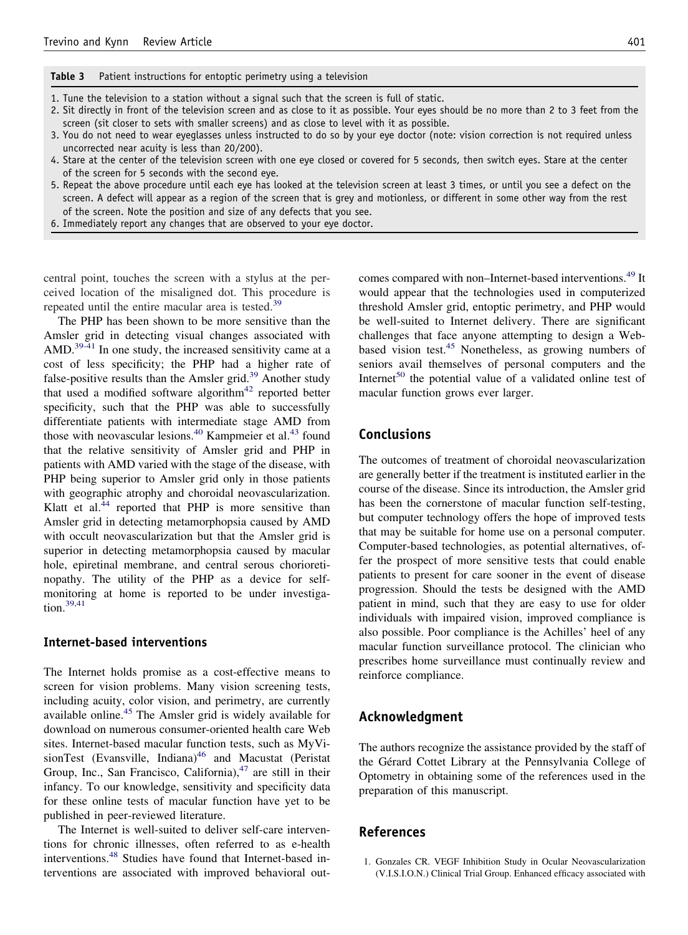<span id="page-4-0"></span>**Table 3** Patient instructions for entoptic perimetry using a television

1. Tune the television to a station without a signal such that the screen is full of static.

- 2. Sit directly in front of the television screen and as close to it as possible. Your eyes should be no more than 2 to 3 feet from the screen (sit closer to sets with smaller screens) and as close to level with it as possible.
- 3. You do not need to wear eyeglasses unless instructed to do so by your eye doctor (note: vision correction is not required unless uncorrected near acuity is less than 20/200).
- 4. Stare at the center of the television screen with one eye closed or covered for 5 seconds, then switch eyes. Stare at the center of the screen for 5 seconds with the second eye.
- 5. Repeat the above procedure until each eye has looked at the television screen at least 3 times, or until you see a defect on the screen. A defect will appear as a region of the screen that is grey and motionless, or different in some other way from the rest of the screen. Note the position and size of any defects that you see.
- 6. Immediately report any changes that are observed to your eye doctor.

central point, touches the screen with a stylus at the perceived location of the misaligned dot. This procedure is repeated until the entire macular area is tested.<sup>[39](#page-5-0)</sup>

The PHP has been shown to be more sensitive than the Amsler grid in detecting visual changes associated with AMD.<sup>[39-41](#page-5-0)</sup> In one study, the increased sensitivity came at a cost of less specificity; the PHP had a higher rate of false-positive results than the Amsler grid. $39$  Another study that used a modified software algorithm $42$  reported better specificity, such that the PHP was able to successfully differentiate patients with intermediate stage AMD from those with neovascular lesions.<sup>[40](#page-5-0)</sup> Kampmeier et al.<sup>[43](#page-5-0)</sup> found that the relative sensitivity of Amsler grid and PHP in patients with AMD varied with the stage of the disease, with PHP being superior to Amsler grid only in those patients with geographic atrophy and choroidal neovascularization. Klatt et al. $44$  reported that PHP is more sensitive than Amsler grid in detecting metamorphopsia caused by AMD with occult neovascularization but that the Amsler grid is superior in detecting metamorphopsia caused by macular hole, epiretinal membrane, and central serous chorioretinopathy. The utility of the PHP as a device for selfmonitoring at home is reported to be under investiga- $tion.<sup>39,41</sup>$  $tion.<sup>39,41</sup>$  $tion.<sup>39,41</sup>$ 

#### **Internet-based interventions**

The Internet holds promise as a cost-effective means to screen for vision problems. Many vision screening tests, including acuity, color vision, and perimetry, are currently available online.<sup>[45](#page-5-0)</sup> The Amsler grid is widely available for download on numerous consumer-oriented health care Web sites. Internet-based macular function tests, such as MyVisionTest (Evansville, Indiana) $46$  and Macustat (Peristat Group, Inc., San Francisco, California), $47$  are still in their infancy. To our knowledge, sensitivity and specificity data for these online tests of macular function have yet to be published in peer-reviewed literature.

The Internet is well-suited to deliver self-care interventions for chronic illnesses, often referred to as e-health interventions.<sup>[48](#page-6-0)</sup> Studies have found that Internet-based interventions are associated with improved behavioral outcomes compared with non–Internet-based interventions.<sup>[49](#page-6-0)</sup> It would appear that the technologies used in computerized threshold Amsler grid, entoptic perimetry, and PHP would be well-suited to Internet delivery. There are significant challenges that face anyone attempting to design a Web-based vision test.<sup>[45](#page-5-0)</sup> Nonetheless, as growing numbers of seniors avail themselves of personal computers and the Internet<sup>[50](#page-6-0)</sup> the potential value of a validated online test of macular function grows ever larger.

## **Conclusions**

The outcomes of treatment of choroidal neovascularization are generally better if the treatment is instituted earlier in the course of the disease. Since its introduction, the Amsler grid has been the cornerstone of macular function self-testing, but computer technology offers the hope of improved tests that may be suitable for home use on a personal computer. Computer-based technologies, as potential alternatives, offer the prospect of more sensitive tests that could enable patients to present for care sooner in the event of disease progression. Should the tests be designed with the AMD patient in mind, such that they are easy to use for older individuals with impaired vision, improved compliance is also possible. Poor compliance is the Achilles' heel of any macular function surveillance protocol. The clinician who prescribes home surveillance must continually review and reinforce compliance.

## **Acknowledgment**

The authors recognize the assistance provided by the staff of the Gérard Cottet Library at the Pennsylvania College of Optometry in obtaining some of the references used in the preparation of this manuscript.

#### **References**

1. Gonzales CR. VEGF Inhibition Study in Ocular Neovascularization (V.I.S.I.O.N.) Clinical Trial Group. Enhanced efficacy associated with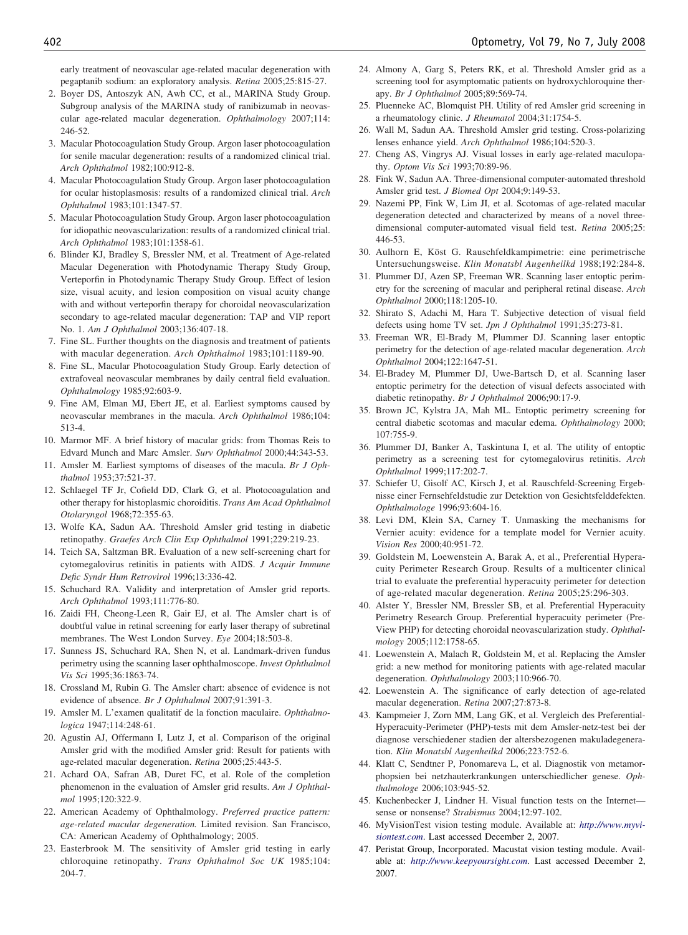<span id="page-5-0"></span>early treatment of neovascular age-related macular degeneration with pegaptanib sodium: an exploratory analysis. *Retina* 2005;25:815-27.

- 2. Boyer DS, Antoszyk AN, Awh CC, et al., MARINA Study Group. Subgroup analysis of the MARINA study of ranibizumab in neovascular age-related macular degeneration. *Ophthalmology* 2007;114: 246-52.
- 3. Macular Photocoagulation Study Group. Argon laser photocoagulation for senile macular degeneration: results of a randomized clinical trial. *Arch Ophthalmol* 1982;100:912-8.
- 4. Macular Photocoagulation Study Group. Argon laser photocoagulation for ocular histoplasmosis: results of a randomized clinical trial. *Arch Ophthalmol* 1983;101:1347-57.
- 5. Macular Photocoagulation Study Group. Argon laser photocoagulation for idiopathic neovascularization: results of a randomized clinical trial. *Arch Ophthalmol* 1983;101:1358-61.
- 6. Blinder KJ, Bradley S, Bressler NM, et al. Treatment of Age-related Macular Degeneration with Photodynamic Therapy Study Group, Verteporfin in Photodynamic Therapy Study Group. Effect of lesion size, visual acuity, and lesion composition on visual acuity change with and without verteporfin therapy for choroidal neovascularization secondary to age-related macular degeneration: TAP and VIP report No. 1. *Am J Ophthalmol* 2003;136:407-18.
- 7. Fine SL. Further thoughts on the diagnosis and treatment of patients with macular degeneration. *Arch Ophthalmol* 1983;101:1189-90.
- 8. Fine SL, Macular Photocoagulation Study Group. Early detection of extrafoveal neovascular membranes by daily central field evaluation. *Ophthalmology* 1985;92:603-9.
- 9. Fine AM, Elman MJ, Ebert JE, et al. Earliest symptoms caused by neovascular membranes in the macula. *Arch Ophthalmol* 1986;104: 513-4.
- 10. Marmor MF. A brief history of macular grids: from Thomas Reis to Edvard Munch and Marc Amsler. *Surv Ophthalmol* 2000;44:343-53.
- 11. Amsler M. Earliest symptoms of diseases of the macula. *Br J Ophthalmol* 1953;37:521-37.
- 12. Schlaegel TF Jr, Cofield DD, Clark G, et al. Photocoagulation and other therapy for histoplasmic choroiditis. *Trans Am Acad Ophthalmol Otolaryngol* 1968;72:355-63.
- 13. Wolfe KA, Sadun AA. Threshold Amsler grid testing in diabetic retinopathy. *Graefes Arch Clin Exp Ophthalmol* 1991;229:219-23.
- 14. Teich SA, Saltzman BR. Evaluation of a new self-screening chart for cytomegalovirus retinitis in patients with AIDS. *J Acquir Immune Defic Syndr Hum Retrovirol* 1996;13:336-42.
- 15. Schuchard RA. Validity and interpretation of Amsler grid reports. *Arch Ophthalmol* 1993;111:776-80.
- 16. Zaidi FH, Cheong-Leen R, Gair EJ, et al. The Amsler chart is of doubtful value in retinal screening for early laser therapy of subretinal membranes. The West London Survey. *Eye* 2004;18:503-8.
- 17. Sunness JS, Schuchard RA, Shen N, et al. Landmark-driven fundus perimetry using the scanning laser ophthalmoscope. *Invest Ophthalmol Vis Sci* 1995;36:1863-74.
- 18. Crossland M, Rubin G. The Amsler chart: absence of evidence is not evidence of absence. *Br J Ophthalmol* 2007;91:391-3.
- 19. Amsler M. L'examen qualitatif de la fonction maculaire. *Ophthalmologica* 1947;114:248-61.
- 20. Agustin AJ, Offermann I, Lutz J, et al. Comparison of the original Amsler grid with the modified Amsler grid: Result for patients with age-related macular degeneration. *Retina* 2005;25:443-5.
- 21. Achard OA, Safran AB, Duret FC, et al. Role of the completion phenomenon in the evaluation of Amsler grid results. *Am J Ophthalmol* 1995;120:322-9.
- 22. American Academy of Ophthalmology. *Preferred practice pattern: age-related macular degeneration.* Limited revision. San Francisco, CA: American Academy of Ophthalmology; 2005.
- 23. Easterbrook M. The sensitivity of Amsler grid testing in early chloroquine retinopathy. *Trans Ophthalmol Soc UK* 1985;104: 204-7.
- 24. Almony A, Garg S, Peters RK, et al. Threshold Amsler grid as a screening tool for asymptomatic patients on hydroxychloroquine therapy. *Br J Ophthalmol* 2005;89:569-74.
- 25. Pluenneke AC, Blomquist PH. Utility of red Amsler grid screening in a rheumatology clinic. *J Rheumatol* 2004;31:1754-5.
- 26. Wall M, Sadun AA. Threshold Amsler grid testing. Cross-polarizing lenses enhance yield. *Arch Ophthalmol* 1986;104:520-3.
- 27. Cheng AS, Vingrys AJ. Visual losses in early age-related maculopathy. *Optom Vis Sci* 1993;70:89-96.
- 28. Fink W, Sadun AA. Three-dimensional computer-automated threshold Amsler grid test. *J Biomed Opt* 2004;9:149-53.
- 29. Nazemi PP, Fink W, Lim JI, et al. Scotomas of age-related macular degeneration detected and characterized by means of a novel threedimensional computer-automated visual field test. *Retina* 2005;25: 446-53.
- 30. Aulhorn E, Köst G. Rauschfeldkampimetrie: eine perimetrische Untersuchungsweise. *Klin Monatsbl Augenheilkd* 1988;192:284-8.
- 31. Plummer DJ, Azen SP, Freeman WR. Scanning laser entoptic perimetry for the screening of macular and peripheral retinal disease. *Arch Ophthalmol* 2000;118:1205-10.
- 32. Shirato S, Adachi M, Hara T. Subjective detection of visual field defects using home TV set. *Jpn J Ophthalmol* 1991;35:273-81.
- 33. Freeman WR, El-Brady M, Plummer DJ. Scanning laser entoptic perimetry for the detection of age-related macular degeneration. *Arch Ophthalmol* 2004;122:1647-51.
- 34. El-Bradey M, Plummer DJ, Uwe-Bartsch D, et al. Scanning laser entoptic perimetry for the detection of visual defects associated with diabetic retinopathy. *Br J Ophthalmol* 2006;90:17-9.
- 35. Brown JC, Kylstra JA, Mah ML. Entoptic perimetry screening for central diabetic scotomas and macular edema. *Ophthalmology* 2000; 107:755-9.
- 36. Plummer DJ, Banker A, Taskintuna I, et al. The utility of entoptic perimetry as a screening test for cytomegalovirus retinitis. *Arch Ophthalmol* 1999;117:202-7.
- 37. Schiefer U, Gisolf AC, Kirsch J, et al. Rauschfeld-Screening Ergebnisse einer Fernsehfeldstudie zur Detektion von Gesichtsfelddefekten. *Ophthalmologe* 1996;93:604-16.
- 38. Levi DM, Klein SA, Carney T. Unmasking the mechanisms for Vernier acuity: evidence for a template model for Vernier acuity. *Vision Res* 2000;40:951-72.
- 39. Goldstein M, Loewenstein A, Barak A, et al., Preferential Hyperacuity Perimeter Research Group. Results of a multicenter clinical trial to evaluate the preferential hyperacuity perimeter for detection of age-related macular degeneration. *Retina* 2005;25:296-303.
- 40. Alster Y, Bressler NM, Bressler SB, et al. Preferential Hyperacuity Perimetry Research Group. Preferential hyperacuity perimeter (Pre-View PHP) for detecting choroidal neovascularization study. *Ophthalmology* 2005;112:1758-65.
- 41. Loewenstein A, Malach R, Goldstein M, et al. Replacing the Amsler grid: a new method for monitoring patients with age-related macular degeneration. *Ophthalmology* 2003;110:966-70.
- 42. Loewenstein A. The significance of early detection of age-related macular degeneration. *Retina* 2007;27:873-8.
- 43. Kampmeier J, Zorn MM, Lang GK, et al. Vergleich des Preferential-Hyperacuity-Perimeter (PHP)-tests mit dem Amsler-netz-test bei der diagnose verschiedener stadien der altersbezogenen makuladegeneration. *Klin Monatsbl Augenheilkd* 2006;223:752-6.
- 44. Klatt C, Sendtner P, Ponomareva L, et al. Diagnostik von metamorphopsien bei netzhauterkrankungen unterschiedlicher genese. *Ophthalmologe* 2006;103:945-52.
- 45. Kuchenbecker J, Lindner H. Visual function tests on the Internet sense or nonsense? *Strabismus* 2004;12:97-102.
- 46. MyVisionTest vision testing module. Available at: *[http://www.myvi](http://www.myvisiontest.com)[siontest.com](http://www.myvisiontest.com)*. Last accessed December 2, 2007.
- 47. Peristat Group, Incorporated. Macustat vision testing module. Available at: *<http://www.keepyoursight.com>*. Last accessed December 2, 2007.